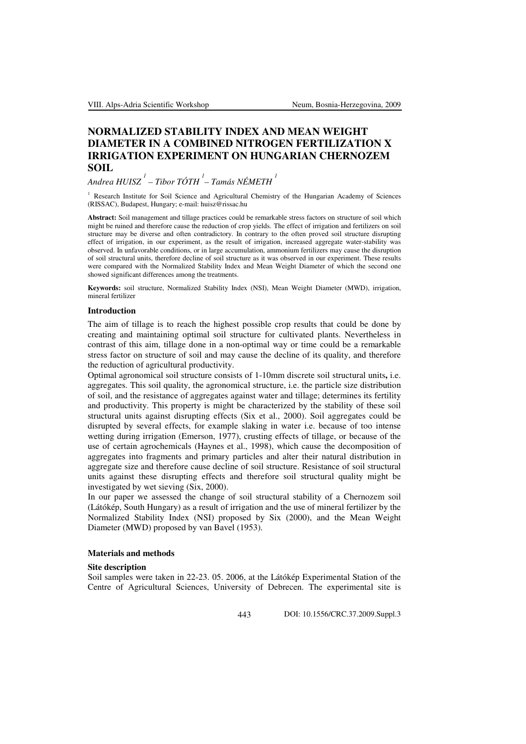# **NORMALIZED STABILITY INDEX AND MEAN WEIGHT DIAMETER IN A COMBINED NITROGEN FERTILIZATION X IRRIGATION EXPERIMENT ON HUNGARIAN CHERNOZEM SOIL**

# *Andrea HUISZ 1 – Tibor TÓTH <sup>1</sup> – Tamás NÉMETH <sup>1</sup>*

<sup>1</sup>Research Institute for Soil Science and Agricultural Chemistry of the Hungarian Academy of Sciences (RISSAC), Budapest, Hungary; e-mail: huisz@rissac.hu

**Abstract:** Soil management and tillage practices could be remarkable stress factors on structure of soil which might be ruined and therefore cause the reduction of crop yields. The effect of irrigation and fertilizers on soil structure may be diverse and often contradictory. In contrary to the often proved soil structure disrupting effect of irrigation, in our experiment, as the result of irrigation, increased aggregate water-stability was observed. In unfavorable conditions, or in large accumulation, ammonium fertilizers may cause the disruption of soil structural units, therefore decline of soil structure as it was observed in our experiment. These results were compared with the Normalized Stability Index and Mean Weight Diameter of which the second one showed significant differences among the treatments.

**Keywords:** soil structure, Normalized Stability Index (NSI), Mean Weight Diameter (MWD), irrigation, mineral fertilizer

#### **Introduction**

The aim of tillage is to reach the highest possible crop results that could be done by creating and maintaining optimal soil structure for cultivated plants. Nevertheless in contrast of this aim, tillage done in a non-optimal way or time could be a remarkable stress factor on structure of soil and may cause the decline of its quality, and therefore the reduction of agricultural productivity.

Optimal agronomical soil structure consists of 1-10mm discrete soil structural units**,** i.e. aggregates. This soil quality, the agronomical structure, i.e. the particle size distribution of soil, and the resistance of aggregates against water and tillage; determines its fertility and productivity. This property is might be characterized by the stability of these soil structural units against disrupting effects (Six et al., 2000). Soil aggregates could be disrupted by several effects, for example slaking in water i.e. because of too intense wetting during irrigation (Emerson, 1977), crusting effects of tillage, or because of the use of certain agrochemicals (Haynes et al., 1998), which cause the decomposition of aggregates into fragments and primary particles and alter their natural distribution in aggregate size and therefore cause decline of soil structure. Resistance of soil structural units against these disrupting effects and therefore soil structural quality might be investigated by wet sieving (Six, 2000).

In our paper we assessed the change of soil structural stability of a Chernozem soil (Látókép, South Hungary) as a result of irrigation and the use of mineral fertilizer by the Normalized Stability Index (NSI) proposed by Six (2000), and the Mean Weight Diameter (MWD) proposed by van Bavel (1953).

## **Materials and methods**

# **Site description**

Soil samples were taken in 22-23. 05. 2006, at the Látókép Experimental Station of the Centre of Agricultural Sciences, University of Debrecen. The experimental site is

443 DOI: 10.1556/CRC.37.2009.Suppl.3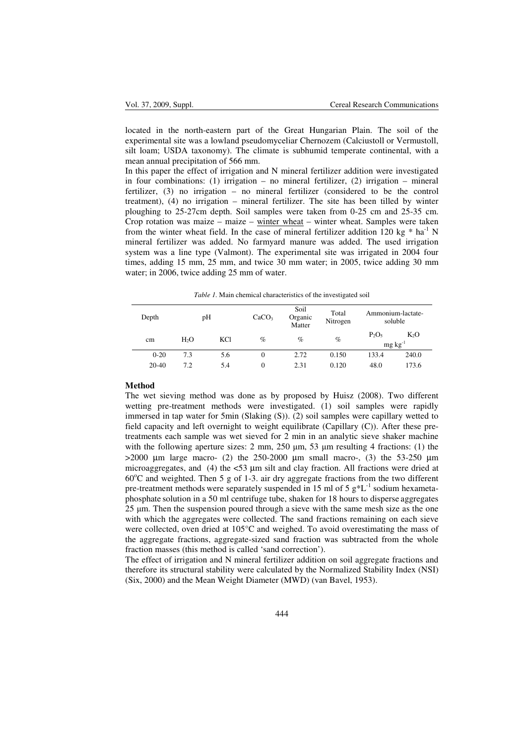located in the north-eastern part of the Great Hungarian Plain. The soil of the experimental site was a lowland pseudomyceliar Chernozem (Calciustoll or Vermustoll, silt loam; USDA taxonomy). The climate is subhumid temperate continental, with a mean annual precipitation of 566 mm.

In this paper the effect of irrigation and N mineral fertilizer addition were investigated in four combinations: (1) irrigation – no mineral fertilizer, (2) irrigation – mineral fertilizer, (3) no irrigation – no mineral fertilizer (considered to be the control treatment), (4) no irrigation – mineral fertilizer. The site has been tilled by winter ploughing to 25-27cm depth. Soil samples were taken from 0-25 cm and 25-35 cm. Crop rotation was maize – maize – winter wheat – winter wheat. Samples were taken from the winter wheat field. In the case of mineral fertilizer addition 120 kg  $*$  ha<sup>-1</sup> N mineral fertilizer was added. No farmyard manure was added. The used irrigation system was a line type (Valmont). The experimental site was irrigated in 2004 four times, adding 15 mm, 25 mm, and twice 30 mm water; in 2005, twice adding 30 mm water; in 2006, twice adding 25 mm of water.

*Table 1.* Main chemical characteristics of the investigated soil

| Depth    | pH               |            | CaCO <sub>3</sub> | Soil<br>Organic<br>Matter | Total<br>Nitrogen | Ammonium-lactate-<br>soluble |                                     |
|----------|------------------|------------|-------------------|---------------------------|-------------------|------------------------------|-------------------------------------|
| cm       | H <sub>2</sub> O | <b>KCl</b> | $\%$              | $\%$                      | $\%$              | $P_2O_5$                     | K <sub>2</sub> O<br>$mg \, kg^{-1}$ |
| $0 - 20$ | 7.3              | 5.6        | 0                 | 2.72                      | 0.150             | 133.4                        | 240.0                               |
| $20-40$  | 7.2              | 5.4        | $\overline{0}$    | 2.31                      | 0.120             | 48.0                         | 173.6                               |

#### **Method**

The wet sieving method was done as by proposed by Huisz (2008). Two different wetting pre-treatment methods were investigated. (1) soil samples were rapidly immersed in tap water for 5min (Slaking (S)). (2) soil samples were capillary wetted to field capacity and left overnight to weight equilibrate (Capillary (C)). After these pretreatments each sample was wet sieved for 2 min in an analytic sieve shaker machine with the following aperture sizes: 2 mm, 250  $\mu$ m, 53  $\mu$ m resulting 4 fractions: (1) the  $>2000$  µm large macro- (2) the 250-2000 µm small macro-, (3) the 53-250 µm microaggregates, and (4) the <53  $\mu$ m silt and clay fraction. All fractions were dried at  $60^{\circ}$ C and weighted. Then 5 g of 1-3. air dry aggregate fractions from the two different pre-treatment methods were separately suspended in 15 ml of 5  $g*L^{-1}$  sodium hexametaphosphate solution in a 50 ml centrifuge tube, shaken for 18 hours to disperse aggregates 25 µm. Then the suspension poured through a sieve with the same mesh size as the one with which the aggregates were collected. The sand fractions remaining on each sieve were collected, oven dried at 105°C and weighed. To avoid overestimating the mass of the aggregate fractions, aggregate-sized sand fraction was subtracted from the whole fraction masses (this method is called 'sand correction').

The effect of irrigation and N mineral fertilizer addition on soil aggregate fractions and therefore its structural stability were calculated by the Normalized Stability Index (NSI) (Six, 2000) and the Mean Weight Diameter (MWD) (van Bavel, 1953).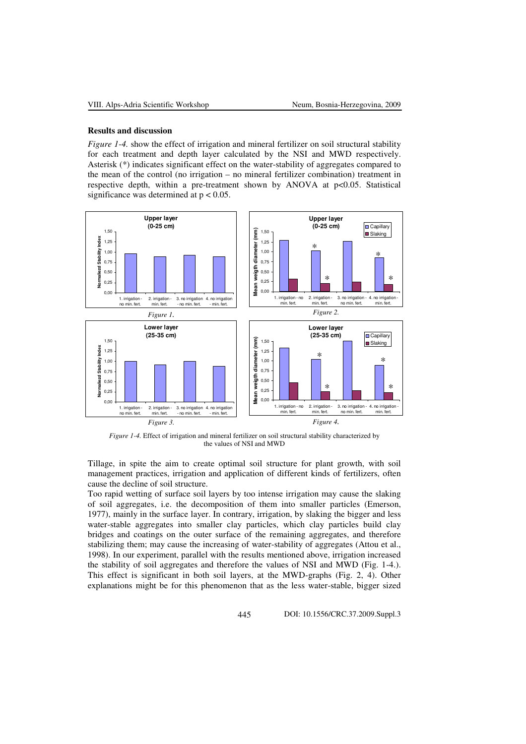#### **Results and discussion**

*Figure 1-4.* show the effect of irrigation and mineral fertilizer on soil structural stability for each treatment and depth layer calculated by the NSI and MWD respectively. Asterisk (\*) indicates significant effect on the water-stability of aggregates compared to the mean of the control (no irrigation – no mineral fertilizer combination) treatment in respective depth, within a pre-treatment shown by ANOVA at p<0.05. Statistical significance was determined at  $p < 0.05$ .



*Figure 1-4.* Effect of irrigation and mineral fertilizer on soil structural stability characterized by the values of NSI and MWD

Tillage, in spite the aim to create optimal soil structure for plant growth, with soil management practices, irrigation and application of different kinds of fertilizers, often cause the decline of soil structure.

Too rapid wetting of surface soil layers by too intense irrigation may cause the slaking of soil aggregates, i.e. the decomposition of them into smaller particles (Emerson, 1977), mainly in the surface layer. In contrary, irrigation, by slaking the bigger and less water-stable aggregates into smaller clay particles, which clay particles build clay bridges and coatings on the outer surface of the remaining aggregates, and therefore stabilizing them; may cause the increasing of water-stability of aggregates (Attou et al., 1998). In our experiment, parallel with the results mentioned above, irrigation increased the stability of soil aggregates and therefore the values of NSI and MWD (Fig. 1-4.). This effect is significant in both soil layers, at the MWD-graphs (Fig. 2, 4). Other explanations might be for this phenomenon that as the less water-stable, bigger sized

445 DOI: 10.1556/CRC.37.2009.Suppl.3